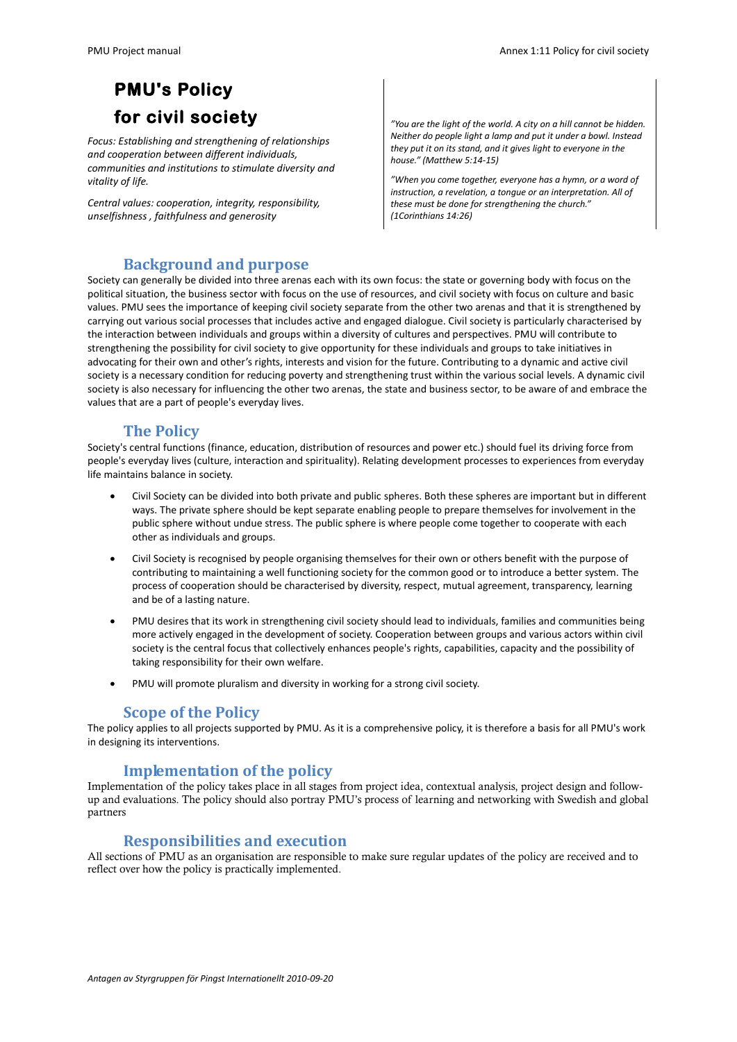# **PMU's Policy for civil society**

*Focus: Establishing and strengthening of relationships and cooperation between different individuals, communities and institutions to stimulate diversity and vitality of life.*

*Central values: cooperation, integrity, responsibility, unselfishness , faithfulness and generosity*

*"You are the light of the world. A city on a hill cannot be hidden. Neither do people light a lamp and put it under a bowl. Instead they put it on its stand, and it gives light to everyone in the house." (Matthew 5:14-15)* 

*"When you come together, everyone has a hymn, or a word of instruction, a revelation, a tongue or an interpretation. All of these must be done for strengthening the church." (1Corinthians 14:26)*

## **Background and purpose**

Society can generally be divided into three arenas each with its own focus: the state or governing body with focus on the political situation, the business sector with focus on the use of resources, and civil society with focus on culture and basic values. PMU sees the importance of keeping civil society separate from the other two arenas and that it is strengthened by carrying out various social processes that includes active and engaged dialogue. Civil society is particularly characterised by the interaction between individuals and groups within a diversity of cultures and perspectives. PMU will contribute to strengthening the possibility for civil society to give opportunity for these individuals and groups to take initiatives in advocating for their own and other's rights, interests and vision for the future. Contributing to a dynamic and active civil society is a necessary condition for reducing poverty and strengthening trust within the various social levels. A dynamic civil society is also necessary for influencing the other two arenas, the state and business sector, to be aware of and embrace the values that are a part of people's everyday lives.

#### **The Policy**

Society's central functions (finance, education, distribution of resources and power etc.) should fuel its driving force from people's everyday lives (culture, interaction and spirituality). Relating development processes to experiences from everyday life maintains balance in society.

- Civil Society can be divided into both private and public spheres. Both these spheres are important but in different ways. The private sphere should be kept separate enabling people to prepare themselves for involvement in the public sphere without undue stress. The public sphere is where people come together to cooperate with each other as individuals and groups.
- Civil Society is recognised by people organising themselves for their own or others benefit with the purpose of contributing to maintaining a well functioning society for the common good or to introduce a better system. The process of cooperation should be characterised by diversity, respect, mutual agreement, transparency, learning and be of a lasting nature.
- PMU desires that its work in strengthening civil society should lead to individuals, families and communities being more actively engaged in the development of society. Cooperation between groups and various actors within civil society is the central focus that collectively enhances people's rights, capabilities, capacity and the possibility of taking responsibility for their own welfare.
- PMU will promote pluralism and diversity in working for a strong civil society.

#### **Scope of the Policy**

The policy applies to all projects supported by PMU. As it is a comprehensive policy, it is therefore a basis for all PMU's work in designing its interventions.

### **Implementation of the policy**

Implementation of the policy takes place in all stages from project idea, contextual analysis, project design and followup and evaluations. The policy should also portray PMU's process of learning and networking with Swedish and global partners

### **Responsibilities and execution**

All sections of PMU as an organisation are responsible to make sure regular updates of the policy are received and to reflect over how the policy is practically implemented.